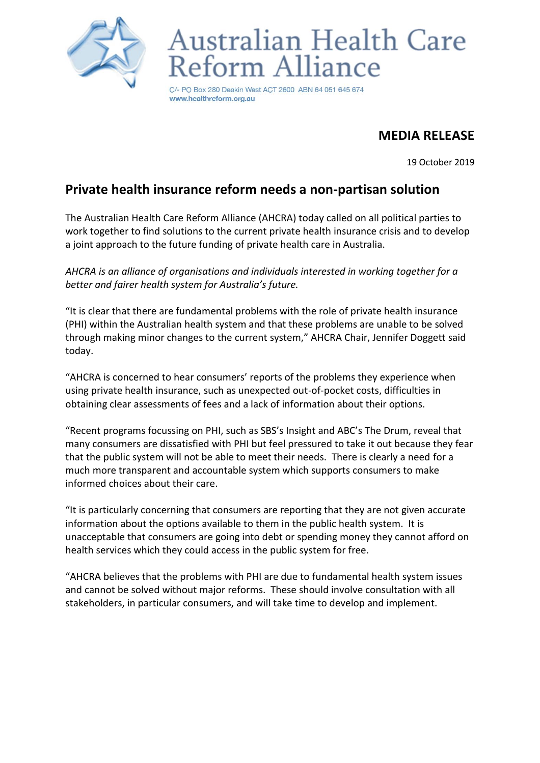

## Australian Health Care form Alliance

PO Box 280 Deakin West ACT 2600 ABN 64 051 645 674 www.healthreform.org.au

## **MEDIA RELEASE**

19 October 2019

## **Private health insurance reform needs a non-partisan solution**

The Australian Health Care Reform Alliance (AHCRA) today called on all political parties to work together to find solutions to the current private health insurance crisis and to develop a joint approach to the future funding of private health care in Australia.

*AHCRA is an alliance of organisations and individuals interested in working together for a better and fairer health system for Australia's future.*

"It is clear that there are fundamental problems with the role of private health insurance (PHI) within the Australian health system and that these problems are unable to be solved through making minor changes to the current system," AHCRA Chair, Jennifer Doggett said today.

"AHCRA is concerned to hear consumers' reports of the problems they experience when using private health insurance, such as unexpected out-of-pocket costs, difficulties in obtaining clear assessments of fees and a lack of information about their options.

"Recent programs focussing on PHI, such as SBS's Insight and ABC's The Drum, reveal that many consumers are dissatisfied with PHI but feel pressured to take it out because they fear that the public system will not be able to meet their needs. There is clearly a need for a much more transparent and accountable system which supports consumers to make informed choices about their care.

"It is particularly concerning that consumers are reporting that they are not given accurate information about the options available to them in the public health system. It is unacceptable that consumers are going into debt or spending money they cannot afford on health services which they could access in the public system for free.

"AHCRA believes that the problems with PHI are due to fundamental health system issues and cannot be solved without major reforms. These should involve consultation with all stakeholders, in particular consumers, and will take time to develop and implement.